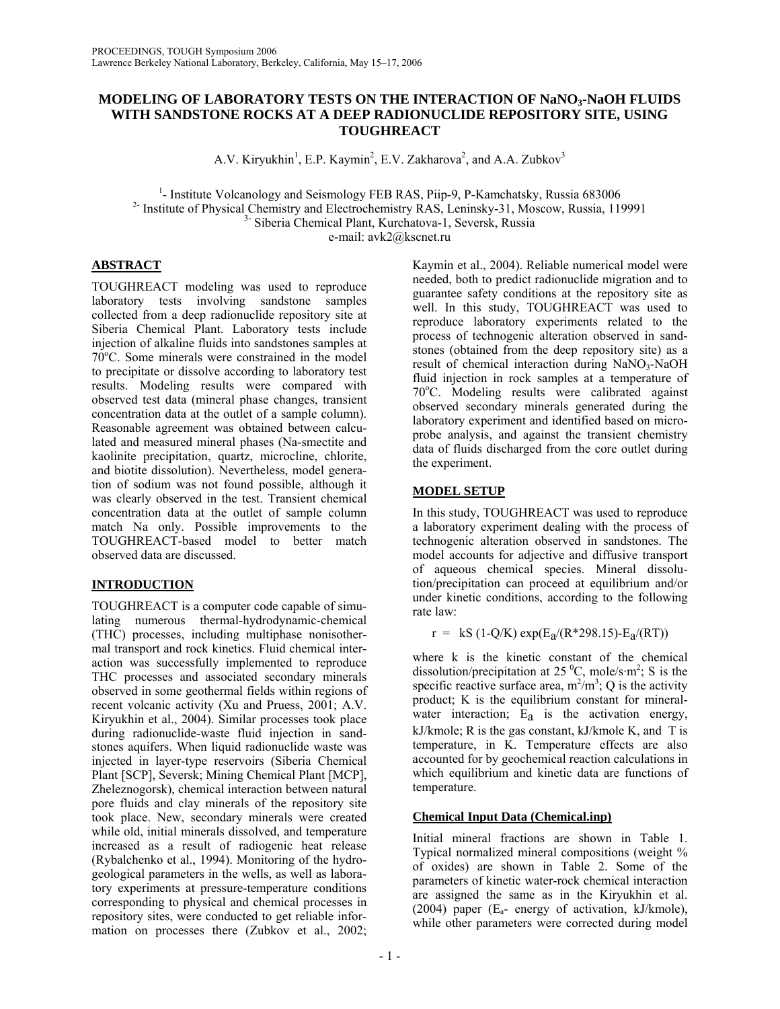### **MODELING OF LABORATORY TESTS ON THE INTERACTION OF NaNO3-NaOH FLUIDS WITH SANDSTONE ROCKS AT A DEEP RADIONUCLIDE REPOSITORY SITE, USING TOUGHREACT**

A.V. Kiryukhin<sup>1</sup>, E.P. Kaymin<sup>2</sup>, E.V. Zakharova<sup>2</sup>, and A.A. Zubkov<sup>3</sup>

<sup>1</sup>- Institute Volcanology and Seismology FEB RAS, Piip-9, P-Kamchatsky, Russia 683006 <sup>2-</sup> Institute of Physical Chemistry and Electrochemistry RAS, Leninsky-31, Moscow, Russia, 119991<br>
<sup>3-</sup> Siberia Chemical Plant, Kurchatova-1, Seversk, Russia e-mail: avk2@kscnet.ru

## **ABSTRACT**

TOUGHREACT modeling was used to reproduce laboratory tests involving sandstone samples collected from a deep radionuclide repository site at Siberia Chemical Plant. Laboratory tests include injection of alkaline fluids into sandstones samples at 70°С. Some minerals were constrained in the model to precipitate or dissolve according to laboratory test results. Modeling results were compared with observed test data (mineral phase changes, transient concentration data at the outlet of a sample column). Reasonable agreement was obtained between calculated and measured mineral phases (Na-smectite and kaolinite precipitation, quartz, microcline, chlorite, and biotite dissolution). Nevertheless, model generation of sodium was not found possible, although it was clearly observed in the test. Transient chemical concentration data at the outlet of sample column match Na only. Possible improvements to the TOUGHREACT-based model to better match observed data are discussed.

### **INTRODUCTION**

TOUGHREACT is a computer code capable of simulating numerous thermal-hydrodynamic-chemical (THC) processes, including multiphase nonisothermal transport and rock kinetics. Fluid chemical interaction was successfully implemented to reproduce THC processes and associated secondary minerals observed in some geothermal fields within regions of recent volcanic activity (Xu and Pruess, 2001; A.V. Kiryukhin et al., 2004). Similar processes took place during radionuclide-waste fluid injection in sandstones aquifers. When liquid radionuclide waste was injected in layer-type reservoirs (Siberia Chemical Plant [SCP], Seversk; Mining Chemical Plant [MCP], Zheleznogorsk), chemical interaction between natural pore fluids and clay minerals of the repository site took place. New, secondary minerals were created while old, initial minerals dissolved, and temperature increased as a result of radiogenic heat release (Rybalchenko et al., 1994). Monitoring of the hydrogeological parameters in the wells, as well as laboratory experiments at pressure-temperature conditions corresponding to physical and chemical processes in repository sites, were conducted to get reliable information on processes there (Zubkov et al., 2002;

Kaymin et al., 2004). Reliable numerical model were needed, both to predict radionuclide migration and to guarantee safety conditions at the repository site as well. In this study, TOUGHREACT was used to reproduce laboratory experiments related to the process of technogenic alteration observed in sandstones (obtained from the deep repository site) as a result of chemical interaction during NaNO3-NaOH fluid injection in rock samples at a temperature of 70°C. Modeling results were calibrated against observed secondary minerals generated during the laboratory experiment and identified based on microprobe analysis, and against the transient chemistry data of fluids discharged from the core outlet during the experiment.

# **MODEL SETUP**

In this study, TOUGHREACT was used to reproduce a laboratory experiment dealing with the process of technogenic alteration observed in sandstones. The model accounts for adjective and diffusive transport of aqueous chemical species. Mineral dissolution/precipitation can proceed at equilibrium and/or under kinetic conditions, according to the following rate law:

 $r = kS (1-Q/K) \exp(E_a/(R^*298.15) - E_a/(RT))$ 

where k is the kinetic constant of the chemical dissolution/precipitation at 25  $^{\circ}$ C, mole/s·m<sup>2</sup>; S is the specific reactive surface area,  $m^2/m^3$ ; Q is the activity product; K is the equilibrium constant for mineralwater interaction;  $E_a$  is the activation energy, kJ/kmole; R is the gas constant, kJ/kmole K, and T is temperature, in K. Temperature effects are also accounted for by geochemical reaction calculations in which equilibrium and kinetic data are functions of temperature.

# **Chemical Input Data (Chemical.inp)**

Initial mineral fractions are shown in Table 1. Typical normalized mineral compositions (weight % of oxides) are shown in Table 2. Some of the parameters of kinetic water-rock chemical interaction are assigned the same as in the Kiryukhin et al. (2004) paper  $(E_a$ - energy of activation, kJ/kmole), while other parameters were corrected during model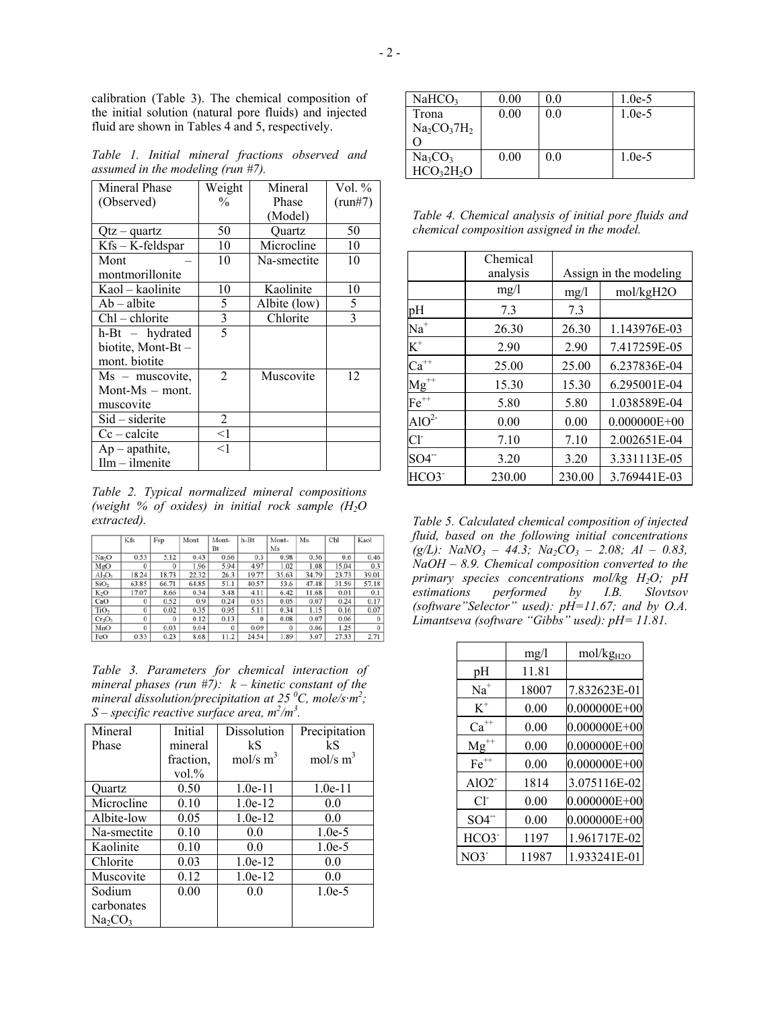calibration (Table 3). The chemical composition of the initial solution (natural pore fluids) and injected fluid are shown in Tables 4 and 5, respectively.

*Table 1. Initial mineral fractions observed and assumed in the modeling (run #7).* 

| Mineral Phase        | Weight         | Mineral      | Vol. $%$   |
|----------------------|----------------|--------------|------------|
| (Observed)           | $\frac{0}{0}$  | Phase        | $(run\#7)$ |
|                      |                | (Model)      |            |
| Qtz – quartz         | 50             | Ouartz       | 50         |
| $Kfs - K-field$ spar | 10             | Microcline   | 10         |
| Mont                 | 10             | Na-smectite  | 10         |
| montmorillonite      |                |              |            |
| Kaol – kaolinite     | 10             | Kaolinite    | 10         |
| $Ab - albite$        | 5              | Albite (low) | 5          |
| $ChI$ – chlorite     | 3              | Chlorite     | 3          |
| $h-Bt - hydrated$    | $\overline{5}$ |              |            |
| biotite, Mont-Bt-    |                |              |            |
| mont. biotite        |                |              |            |
| $Ms$ – muscovite,    | 2              | Muscovite    | 12         |
| Mont-Ms $-$ mont.    |                |              |            |
| muscovite            |                |              |            |
| $Sid$ – siderite     | 2              |              |            |
| $Cc - calcite$       | $<$ 1          |              |            |
| $Ap -$ apathite,     | <1             |              |            |
| $Ilm - ilmenite$     |                |              |            |

*Table 2. Typical normalized mineral compositions (weight % of oxides) in initial rock sample (Н2О extracted).* 

|                   | Kfs      | Fsp      | Mont  | Mont-    | $h-Bt$   | Mont-    | Ms    | Chl   | Kaol     |
|-------------------|----------|----------|-------|----------|----------|----------|-------|-------|----------|
|                   |          |          |       | Bt       |          | Ms       |       |       |          |
| Na <sub>2</sub> O | 0.53     | 5.12     | 0.43  | 0.66     | 0.3      | 0.98     | 0.56  | 0.6   | 0.46     |
| MgO               | $\bf{0}$ | $\Omega$ | 1.96  | 5.94     | 4.97     | 1.02     | 1.08  | 15.04 | 0.3      |
| $Al_2O_3$         | 18.24    | 18.73    | 22.32 | 26.3     | 19.77    | 35.63    | 34.79 | 23.73 | 39.01    |
| SiO <sub>2</sub>  | 63.85    | 66.71    | 64.85 | 51.1     | 40.57    | 53.6     | 47.48 | 31.59 | 57.18    |
| K <sub>2</sub> O  | 17.07    | 8.66     | 0.34  | 3.48     | 4.11     | 6.42     | 11.68 | 0.01  | 0.1      |
| CaO               | $\Omega$ | 0.52     | 0.9   | 0.24     | 0.55     | 0.05     | 0.07  | 0.24  | 0.17     |
| TiO <sub>2</sub>  | $\bf{0}$ | 0.02     | 0.35  | 0.95     | 5.11     | 0.34     | 1.15  | 0.16  | 0.07     |
| $Cr_2O_3$         | $\bf{0}$ | $\Omega$ | 0.12  | 0.13     | $\bf{0}$ | 0.08     | 0.07  | 0.06  | $\Omega$ |
| MnO               | $\alpha$ | 0.03     | 0.04  | $\theta$ | 0.09     | $\Omega$ | 0.06  | 1.25  | $\Omega$ |
| FeO               | 0.33     | 0.23     | 8.68  | 11.2     | 24.54    | 1.89     | 3.07  | 27.33 | 2.71     |

*Table 3. Parameters for chemical interaction of mineral phases (run #7): k – kinetic constant of the mineral dissolution/precipitation at 25 <sup>0</sup> C, mole/s·m2 ;*  S – specific reactive surface area,  $m^2/m^3$ .

| Mineral     | Initial   | Dissolution         | Precipitation       |
|-------------|-----------|---------------------|---------------------|
| Phase       | mineral   | kS                  | kS                  |
|             | fraction. | $mol/s \text{ m}^3$ | $mol/s \text{ m}^3$ |
|             | $vol. \%$ |                     |                     |
| Ouartz      | 0.50      | $1.0e-11$           | $1.0e-11$           |
| Microcline  | 0.10      | $1.0e-12$           | 0.0                 |
| Albite-low  | 0.05      | $1.0e-12$           | 0.0                 |
| Na-smectite | 0.10      | 0 <sub>0</sub>      | $1.0e-5$            |
| Kaolinite   | 0.10      | 0.0                 | $1.0e-5$            |
| Chlorite    | 0.03      | $1.0e-12$           | 0.0                 |
| Muscovite   | 0.12      | $1.0e-12$           | 0.0                 |
| Sodium      | 0.00      | 0.0                 | $1.0e-5$            |
| carbonates  |           |                     |                     |
| $Na_2CO_3$  |           |                     |                     |

| NaHCO <sub>3</sub>                 | 0.00 | 0.0 | $1.0e-5$ |
|------------------------------------|------|-----|----------|
| Trona                              | 0.00 | 0.0 | $1.0e-5$ |
| $Na2CO37H2$                        |      |     |          |
|                                    |      |     |          |
| Na <sub>3</sub> CO <sub>3</sub>    | 0.00 | 0.0 | $1.0e-5$ |
| HCO <sub>3</sub> 2H <sub>2</sub> O |      |     |          |

*Table 4. Chemical analysis of initial pore fluids and chemical composition assigned in the model.* 

|                   | Chemical |        |                        |
|-------------------|----------|--------|------------------------|
|                   | analysis |        | Assign in the modeling |
|                   | mg/1     | mg/l   | mol/kgH2O              |
| pН                | 7.3      | 7.3    |                        |
| $\mathrm{Na}^+$   | 26.30    | 26.30  | 1.143976E-03           |
| $K^+$             | 2.90     | 2.90   | 7.417259E-05           |
| $Ca^{++}$         | 25.00    | 25.00  | 6.237836E-04           |
| $\text{Mg}^{++}$  | 15.30    | 15.30  | 6.295001E-04           |
| $Fe^{++}$         | 5.80     | 5.80   | 1.038589E-04           |
| AIO <sup>2</sup>  | 0.00     | 0.00   | $0.000000E + 00$       |
| Cl <sup>2</sup>   | 7.10     | 7.10   | 2.002651E-04           |
| SO4 <sup>--</sup> | 3.20     | 3.20   | 3.331113E-05           |
| HCO3 <sup>-</sup> | 230.00   | 230.00 | 3.769441E-03           |

*Table 5. Calculated chemical composition of injected fluid, based on the following initial concentrations*  $(g/L):$  *NaNO<sub>3</sub>* – 44.3; *Na<sub>2</sub>CO<sub>3</sub>* – 2.08; *Al* – 0.83, *NaOH – 8.9. Chemical composition converted to the primary species concentrations mol/kg H2O; pH estimations performed by I.B. Slovtsov (software"Selector" used): pH=11.67; and by O.A. Limantseva (software "Gibbs" used): рН= 11.81.* 

|                | mg/l  | mol/kg <sub>H2O</sub> |
|----------------|-------|-----------------------|
| рH             | 11.81 |                       |
| $Na+$          | 18007 | 7.832623E-01          |
| $K^+$          | 0.00  | $0.000000E + 00$      |
| $Ca^{++}$      | 0.00  | $0.000000E + 00$      |
| $Mg^{++}$      | 0.00  | $0.000000E + 00$      |
| $Fe++$         | 0.00  | $0.000000E + 00$      |
| $AIO2^-$       | 1814  | 3.075116E-02          |
| $Cl^{\dagger}$ | 0.00  | $0.000000E + 00$      |
| $SO4^-$        | 0.00  | $0.000000E + 00$      |
| HCO3           | 1197  | 1.961717E-02          |
| $NO3^-$        | 11987 | 1.933241E-01          |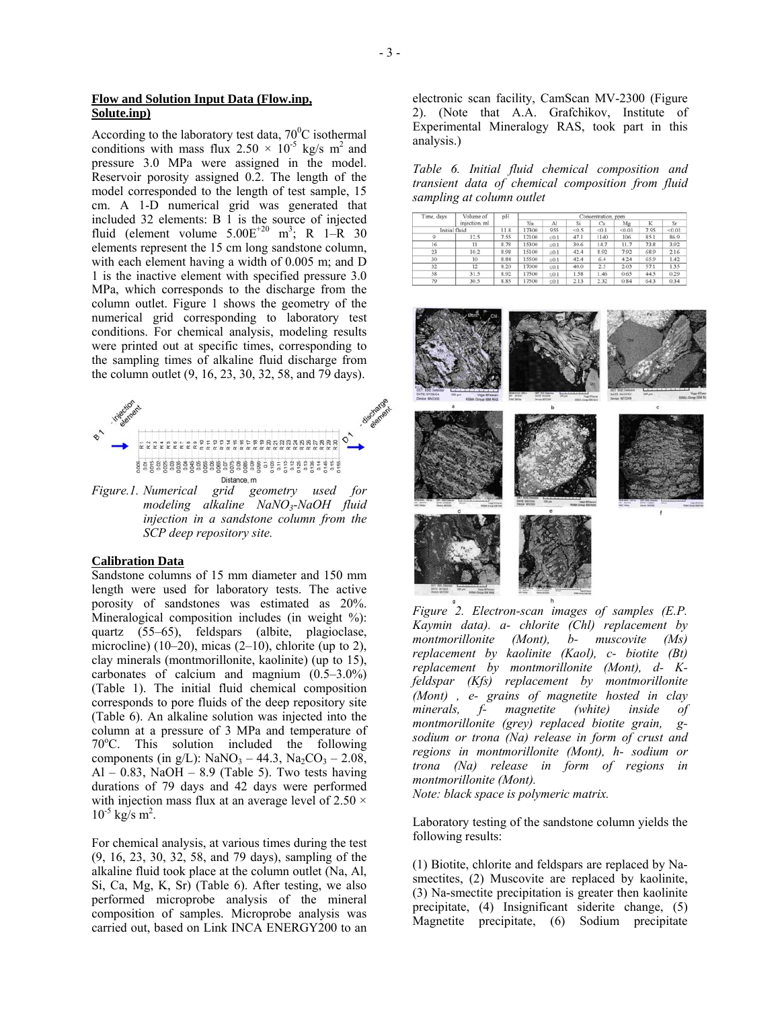According to the laboratory test data,  $70^{\circ}$ C isothermal conditions with mass flux  $2.50 \times 10^{-5}$  kg/s m<sup>2</sup> and pressure 3.0 MPa were assigned in the model. Reservoir porosity assigned 0.2. The length of the model corresponded to the length of test sample, 15 cm. A 1-D numerical grid was generated that included 32 elements: B 1 is the source of injected fluid (element volume  $5.00E^{+20}$  m<sup>3</sup>; R 1–R 30 elements represent the 15 cm long sandstone column, with each element having a width of 0.005 m; and D 1 is the inactive element with specified pressure 3.0 MPa, which corresponds to the discharge from the column outlet. Figure 1 shows the geometry of the numerical grid corresponding to laboratory test conditions. For chemical analysis, modeling results were printed out at specific times, corresponding to the sampling times of alkaline fluid discharge from the column outlet (9, 16, 23, 30, 32, 58, and 79 days).



*Figure.1. Numerical grid geometry used for modeling alkaline NaNO3-NaOH fluid injection in a sandstone column from the SCP deep repository site.* 

### **Calibration Data**

Sandstone columns of 15 mm diameter and 150 mm length were used for laboratory tests. The active porosity of sandstones was estimated as 20%. Mineralogical composition includes (in weight %): quartz (55–65), feldspars (albite, plagioclase, microcline) (10–20), micas (2–10), chlorite (up to 2), clay minerals (montmorillonite, kaolinite) (up to 15), carbonates of calcium and magnium (0.5–3.0%) (Table 1). The initial fluid chemical composition corresponds to pore fluids of the deep repository site (Table 6). An alkaline solution was injected into the column at a pressure of 3 МPa and temperature of 70<sup>о</sup> С. This solution included the following components (in g/L):  $NaNO_3 - 44.3$ ,  $Na_2CO_3 - 2.08$ , Al – 0.83, NaOH – 8.9 (Table 5). Two tests having durations of 79 days and 42 days were performed with injection mass flux at an average level of  $2.50 \times$  $10^{-5}$  kg/s m<sup>2</sup>.

For chemical analysis, at various times during the test (9, 16, 23, 30, 32, 58, and 79 days), sampling of the alkaline fluid took place at the column outlet (Na, Al, Si, Ca, Mg, K, Sr) (Table 6). After testing, we also performed microprobe analysis of the mineral composition of samples. Microprobe analysis was carried out, based on Link INCA ENERGY200 to an

electronic scan facility, CamScan MV-2300 (Figure 2). (Note that A.A. Grafchikov, Institute of Experimental Mineralogy RAS, took part in this analysis.)

*Table 6. Initial fluid chemical composition and transient data of chemical composition from fluid sampling at column outlet* 

| Volume of<br>Time, days | pH            | Concentration, ppm |       |            |       |       |        |      |        |
|-------------------------|---------------|--------------------|-------|------------|-------|-------|--------|------|--------|
|                         | injection, ml |                    | Na    | Al         | Si    | Ca    | Mg     |      | Sr     |
|                         | Initial fluid | 11.8               | 17300 | 955        | < 0.5 | < 0.1 | < 0.01 | 7.95 | < 0.01 |
|                         | 12.5          | 7.55               | 12100 | $\leq 0.1$ | 47.1  | 1140  | 106    | 85.1 | 86.9   |
| 16                      | 11            | 8.78               | 15300 | $\leq 0.1$ | 30.6  | 14.7  | 11.7   | 73.8 | 3.92   |
| 23                      | 10.2          | 8.98               | 15100 | < 0.1      | 42.4  | 8.92  | 7.92   | 68.9 | 2.16   |
| 30                      | 10            | 8.84               | 15500 | $\leq 0.1$ | 42.4  | 6.4   | 4.24   | 65.9 | 1.42   |
| 32                      | 12            | 8.20               | 17000 | ≤0.1       | 40.0  | 2.5   | 2.03   | 57.1 | 1.35   |
| 58                      | 31.5          | 8.92               | 17500 | $\leq 0.1$ | 1.58  | 1.46  | 0.65   | 44.5 | 0.29   |
| 79                      | 30.5          | 8.85               | 17500 | < 0.1      | 2.13  | 2.32  | 0.84   | 643  | 0.34   |



*Figure 2. Electron-scan images of samples (E.P. Kaymin data). a- chlorite (Chl) replacement by montmorillonite (Mont), b- muscovite (Ms) replacement by kaolinite (Kaol), c- biotite (Bt) replacement by montmorillonite (Mont), d- Kfeldspar (Kfs) replacement by montmorillonite (Mont) , e- grains of magnetite hosted in clay minerals, f- magnetite (white) inside of montmorillonite (grey) replaced biotite grain, gsodium or trona (Na) release in form of crust and regions in montmorillonite (Mont), h- sodium or trona (Na) release in form of regions in montmorillonite (Mont).*

*Note: black space is polymeric matrix.* 

Laboratory testing of the sandstone column yields the following results:

(1) Biotite, chlorite and feldspars are replaced by Nasmectites, (2) Muscovite are replaced by kaolinite, (3) Na-smectite precipitation is greater then kaolinite precipitate, (4) Insignificant siderite change, (5) Magnetite precipitate, (6) Sodium precipitate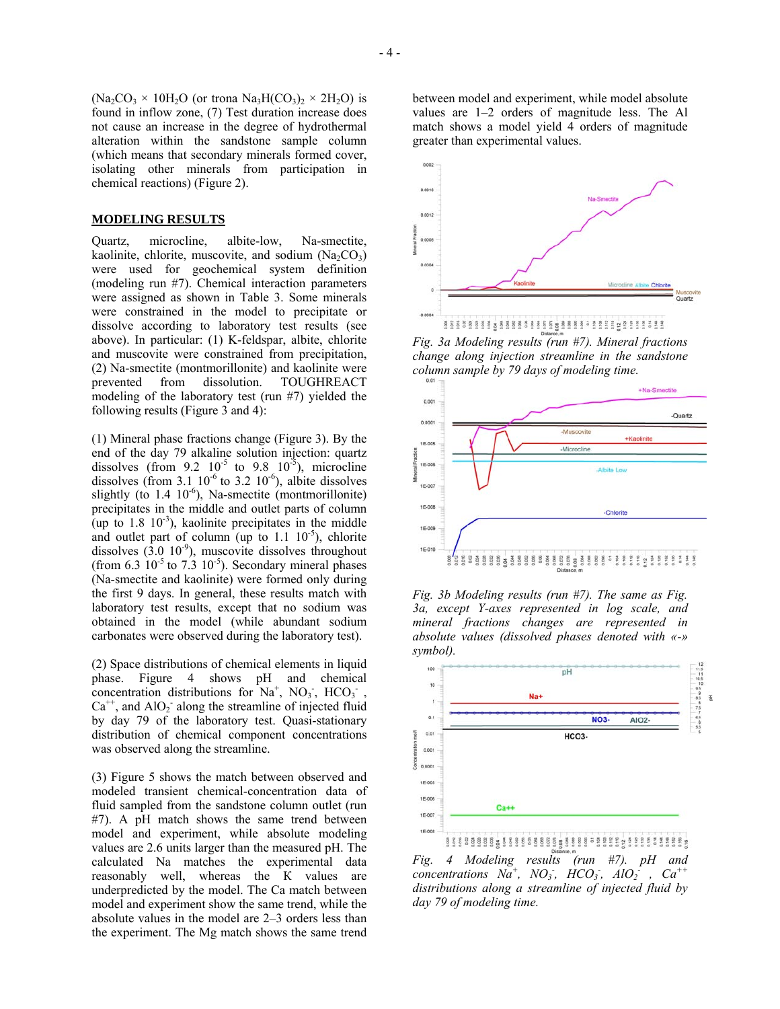$(Na_2CO_3 \times 10H_2O$  (or trona  $Na_3H(CO_3)_2 \times 2H_2O$ ) is found in inflow zone, (7) Test duration increase does not cause an increase in the degree of hydrothermal alteration within the sandstone sample column (which means that secondary minerals formed cover, isolating other minerals from participation in chemical reactions) (Figure 2).

#### **MODELING RESULTS**

Quartz, microcline, albite-low, Na-smectite, kaolinite, chlorite, muscovite, and sodium  $(Na_2CO_3)$ were used for geochemical system definition (modeling run #7). Chemical interaction parameters were assigned as shown in Table 3. Some minerals were constrained in the model to precipitate or dissolve according to laboratory test results (see above). In particular: (1) K-feldspar, albite, chlorite and muscovite were constrained from precipitation, (2) Na-smectite (montmorillonite) and kaolinite were prevented from dissolution. TOUGHREACT modeling of the laboratory test (run #7) yielded the following results (Figure 3 and 4):

(1) Mineral phase fractions change (Figure 3). By the end of the day 79 alkaline solution injection: quartz dissolves (from  $9.2 \times 10^{-5}$  to  $9.8 \times 10^{-5}$ ), microcline dissolves (from 3.1  $10^{-6}$  to 3.2  $10^{-6}$ ), albite dissolves slightly (to  $1.4 \, 10^{-6}$ ), Na-smectite (montmorillonite) precipitates in the middle and outlet parts of column (up to  $1.8 \, 10^{-3}$ ), kaolinite precipitates in the middle and outlet part of column (up to  $1.1 \, 10^{-5}$ ), chlorite dissolves  $(3.0 \t10^{-9})$ , muscovite dissolves throughout (from  $6.3 \times 10^{-5}$  to  $7.3 \times 10^{-5}$ ). Secondary mineral phases (Na-smectite and kaolinite) were formed only during the first 9 days. In general, these results match with laboratory test results, except that no sodium was obtained in the model (while abundant sodium carbonates were observed during the laboratory test).

(2) Space distributions of chemical elements in liquid phase. Figure 4 shows pH and chemical concentration distributions for  $Na^+$ ,  $NO_3$ ,  $HCO_3$ ,  $Ca^{++}$ , and  $AlO<sub>2</sub>$  along the streamline of injected fluid by day 79 of the laboratory test. Quasi-stationary distribution of chemical component concentrations was observed along the streamline.

(3) Figure 5 shows the match between observed and modeled transient chemical-concentration data of fluid sampled from the sandstone column outlet (run #7). A pH match shows the same trend between model and experiment, while absolute modeling values are 2.6 units larger than the measured pH. The calculated Na matches the experimental data reasonably well, whereas the К values are underpredicted by the model. The Ca match between model and experiment show the same trend, while the absolute values in the model are 2–3 orders less than the experiment. The Mg match shows the same trend between model and experiment, while model absolute values are 1–2 orders of magnitude less. The Al match shows a model yield 4 orders of magnitude greater than experimental values.



*Fig. 3a Modeling results (run #7). Mineral fractions change along injection streamline in the sandstone column sample by 79 days of modeling time.*



*Fig. 3b Modeling results (run #7). The same as Fig. 3a, except Y-axes represented in log scale, and mineral fractions changes are represented in absolute values (dissolved phases denoted with «-» symbol).* 



*Fig. 4 Modeling results (run #7). pH and*  $\overline{C}$  *concentrations*  $N\overline{a}^+$ ,  $N\overline{O_3}$ ,  $HCO_3$ ,  $\overline{AIO_2}^+$ ,  $Ca^{++}$ *distributions along a streamline of injected fluid by day 79 of modeling time.*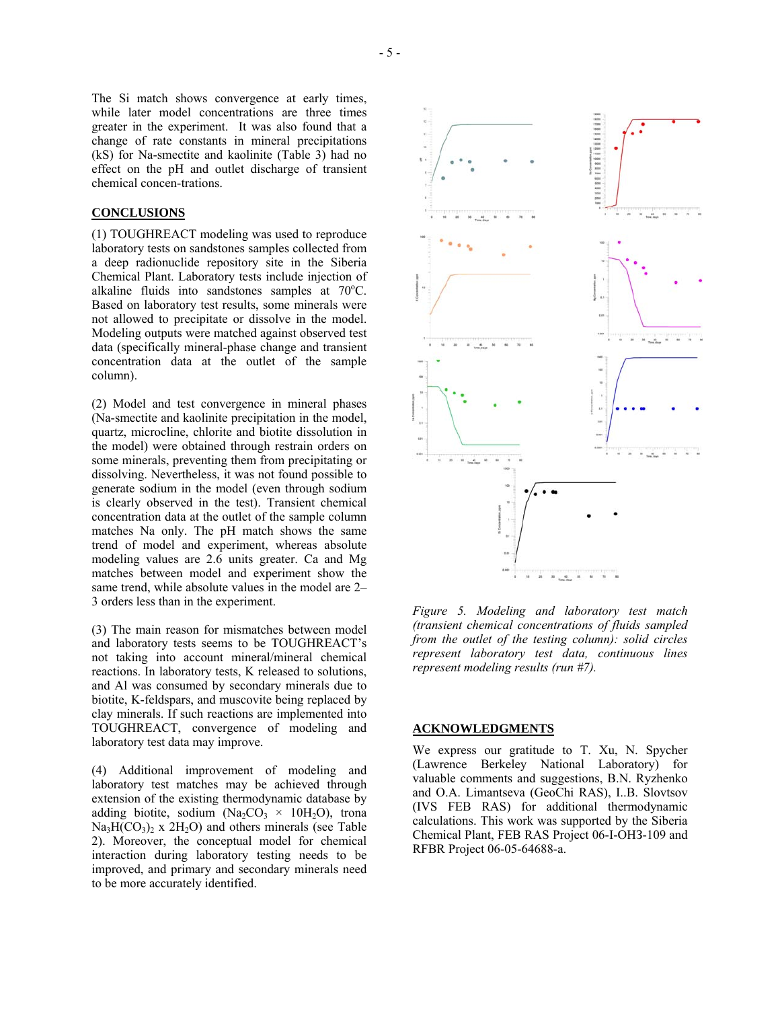The Si match shows convergence at early times, while later model concentrations are three times greater in the experiment. It was also found that a change of rate constants in mineral precipitations (kS) for Na-smectite and kaolinite (Table 3) had no effect on the рН and outlet discharge of transient chemical concen-trations.

#### **CONCLUSIONS**

(1) TOUGHREACT modeling was used to reproduce laboratory tests on sandstones samples collected from a deep radionuclide repository site in the Siberia Chemical Plant. Laboratory tests include injection of alkaline fluids into sandstones samples at 70°C. Based on laboratory test results, some minerals were not allowed to precipitate or dissolve in the model. Modeling outputs were matched against observed test data (specifically mineral-phase change and transient concentration data at the outlet of the sample column).

(2) Model and test convergence in mineral phases (Na-smectite and kaolinite precipitation in the model, quartz, microcline, chlorite and biotite dissolution in the model) were obtained through restrain orders on some minerals, preventing them from precipitating or dissolving. Nevertheless, it was not found possible to generate sodium in the model (even through sodium is clearly observed in the test). Transient chemical concentration data at the outlet of the sample column matches Na only. The pH match shows the same trend of model and experiment, whereas absolute modeling values are 2.6 units greater. Ca and Mg matches between model and experiment show the same trend, while absolute values in the model are 2– 3 orders less than in the experiment.

(3) The main reason for mismatches between model and laboratory tests seems to be TOUGHREACT's not taking into account mineral/mineral chemical reactions. In laboratory tests, K released to solutions, and Al was consumed by secondary minerals due to biotite, K-feldspars, and muscovite being replaced by clay minerals. If such reactions are implemented into TOUGHREACT, convergence of modeling and laboratory test data may improve.

(4) Additional improvement of modeling and laboratory test matches may be achieved through extension of the existing thermodynamic database by adding biotite, sodium (Na<sub>2</sub>CO<sub>3</sub>  $\times$  10H<sub>2</sub>O), trona  $Na<sub>3</sub>H(CO<sub>3</sub>)<sub>2</sub>$  x 2H<sub>2</sub>O) and others minerals (see Table 2). Moreover, the conceptual model for chemical interaction during laboratory testing needs to be improved, and primary and secondary minerals need to be more accurately identified.



*Figure 5. Modeling and laboratory test match (transient chemical concentrations of fluids sampled from the outlet of the testing column): solid circles represent laboratory test data, continuous lines represent modeling results (run #7).* 

#### **ACKNOWLEDGMENTS**

We express our gratitude to T. Xu, N. Spycher (Lawrence Berkeley National Laboratory) for valuable comments and suggestions, B.N. Ryzhenko and О.А. Limantseva (GeoChi RAS), I..B. Slovtsov (IVS FEB RAS) for additional thermodynamic calculations. This work was supported by the Siberia Chemical Plant, FEB RAS Project 06-I-ОНЗ-109 and RFBR Project 06-05-64688-а.